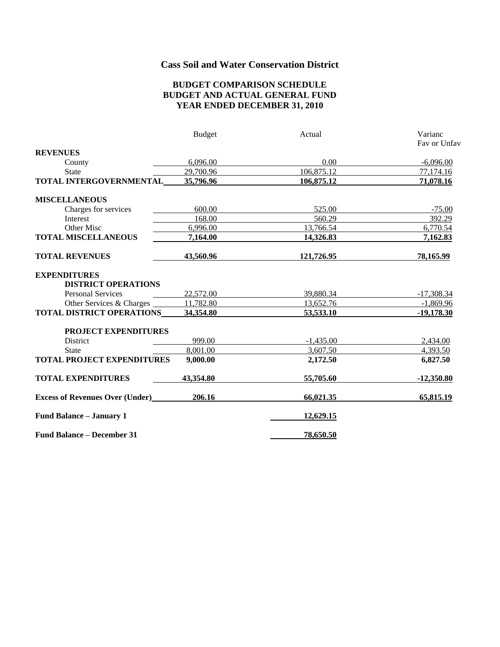# **Cass Soil and Water Conservation District**

#### **BUDGET COMPARISON SCHEDULE BUDGET AND ACTUAL GENERAL FUND YEAR ENDED DECEMBER 31, 2010**

|                                               | <b>Budget</b> | Actual      | Varianc      |
|-----------------------------------------------|---------------|-------------|--------------|
|                                               |               |             | Fav or Unfav |
| <b>REVENUES</b>                               |               |             |              |
| County                                        | 6,096.00      | 0.00        | $-6,096.00$  |
| <b>State</b>                                  | 29,700.96     | 106,875.12  | 77,174.16    |
| TOTAL INTERGOVERNMENTAL                       | 35,796.96     | 106,875.12  | 71,078.16    |
| <b>MISCELLANEOUS</b>                          |               |             |              |
| Charges for services                          | 600.00        | 525.00      | $-75.00$     |
| <b>Interest</b>                               | 168.00        | 560.29      | 392.29       |
| Other Misc                                    | 6,996.00      | 13,766.54   | 6,770.54     |
| <b>TOTAL MISCELLANEOUS</b>                    | 7,164.00      | 14,326.83   | 7,162.83     |
| <b>TOTAL REVENUES</b>                         | 43,560.96     | 121,726.95  | 78,165.99    |
| <b>EXPENDITURES</b>                           |               |             |              |
| <b>DISTRICT OPERATIONS</b>                    |               |             |              |
| <b>Personal Services</b>                      | 22,572.00     | 39,880.34   | $-17,308.34$ |
| Other Services & Charges                      | 11,782.80     | 13,652.76   | $-1,869.96$  |
| <b>TOTAL DISTRICT OPERATIONS</b>              | 34,354.80     | 53,533.10   | $-19,178.30$ |
| <b>PROJECT EXPENDITURES</b>                   |               |             |              |
| District                                      | 999.00        | $-1,435.00$ | 2,434.00     |
| <b>State</b>                                  | 8,001.00      | 3,607.50    | 4,393.50     |
| <b>TOTAL PROJECT EXPENDITURES</b>             | 9,000.00      | 2,172.50    | 6,827.50     |
| <b>TOTAL EXPENDITURES</b>                     | 43,354.80     | 55,705.60   | $-12,350.80$ |
| <b>Excess of Revenues Over (Under)</b> 206.16 |               | 66,021.35   | 65,815.19    |
| <b>Fund Balance - January 1</b>               |               | 12,629.15   |              |
| <b>Fund Balance – December 31</b>             |               | 78,650.50   |              |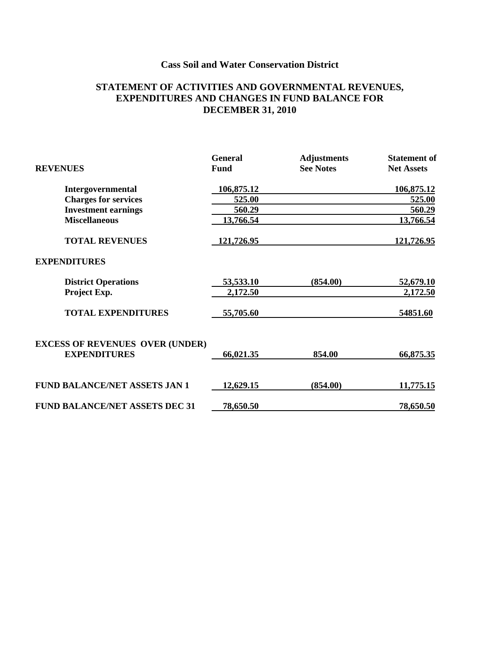# **Cass Soil and Water Conservation District**

### **STATEMENT OF ACTIVITIES AND GOVERNMENTAL REVENUES, EXPENDITURES AND CHANGES IN FUND BALANCE FOR DECEMBER 31, 2010**

|                                        | <b>General</b> | <b>Adjustments</b> | <b>Statement</b> of |
|----------------------------------------|----------------|--------------------|---------------------|
| <b>REVENUES</b>                        | <b>Fund</b>    | <b>See Notes</b>   | <b>Net Assets</b>   |
| Intergovernmental                      | 106,875.12     |                    | 106,875.12          |
| <b>Charges for services</b>            | 525.00         |                    | 525.00              |
| <b>Investment earnings</b>             | 560.29         |                    | 560.29              |
| <b>Miscellaneous</b>                   | 13,766.54      |                    | 13,766.54           |
| <b>TOTAL REVENUES</b>                  | 121,726.95     |                    | 121,726.95          |
| <b>EXPENDITURES</b>                    |                |                    |                     |
| <b>District Operations</b>             | 53,533.10      | (854.00)           | 52,679.10           |
| Project Exp.                           | 2,172.50       |                    | 2,172.50            |
| <b>TOTAL EXPENDITURES</b>              | 55,705.60      |                    | 54851.60            |
| <b>EXCESS OF REVENUES OVER (UNDER)</b> |                |                    |                     |
| <b>EXPENDITURES</b>                    | 66,021.35      | 854.00             | 66,875.35           |
| <b>FUND BALANCE/NET ASSETS JAN 1</b>   | 12,629.15      | (854.00)           | 11,775.15           |
|                                        |                |                    |                     |
| <b>FUND BALANCE/NET ASSETS DEC 31</b>  | 78,650.50      |                    | 78,650.50           |